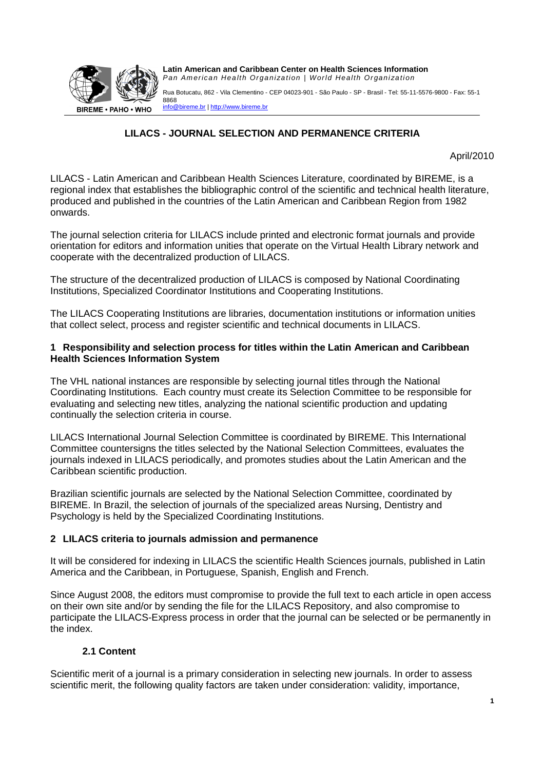

Rua Botucatu, 862 - Vila Clementino - CEP 04023-901 - São Paulo - SP - Brasil - Tel: 55-11-5576-9800 - Fax: 55-11 8868 info@bireme.br | http://www.bireme.br

# **LILACS - JOURNAL SELECTION AND PERMANENCE CRITERIA**

### April/2010

LILACS - Latin American and Caribbean Health Sciences Literature, coordinated by BIREME, is a regional index that establishes the bibliographic control of the scientific and technical health literature, produced and published in the countries of the Latin American and Caribbean Region from 1982 onwards.

The journal selection criteria for LILACS include printed and electronic format journals and provide orientation for editors and information unities that operate on the Virtual Health Library network and cooperate with the decentralized production of LILACS.

The structure of the decentralized production of LILACS is composed by National Coordinating Institutions, Specialized Coordinator Institutions and Cooperating Institutions.

The LILACS Cooperating Institutions are libraries, documentation institutions or information unities that collect select, process and register scientific and technical documents in LILACS.

### **1 Responsibility and selection process for titles within the Latin American and Caribbean Health Sciences Information System**

The VHL national instances are responsible by selecting journal titles through the National Coordinating Institutions. Each country must create its Selection Committee to be responsible for evaluating and selecting new titles, analyzing the national scientific production and updating continually the selection criteria in course.

LILACS International Journal Selection Committee is coordinated by BIREME. This International Committee countersigns the titles selected by the National Selection Committees, evaluates the journals indexed in LILACS periodically, and promotes studies about the Latin American and the Caribbean scientific production.

Brazilian scientific journals are selected by the National Selection Committee, coordinated by BIREME. In Brazil, the selection of journals of the specialized areas Nursing, Dentistry and Psychology is held by the Specialized Coordinating Institutions.

# **2 LILACS criteria to journals admission and permanence**

It will be considered for indexing in LILACS the scientific Health Sciences journals, published in Latin America and the Caribbean, in Portuguese, Spanish, English and French.

Since August 2008, the editors must compromise to provide the full text to each article in open access on their own site and/or by sending the file for the LILACS Repository, and also compromise to participate the LILACS-Express process in order that the journal can be selected or be permanently in the index.

# **2.1 Content**

Scientific merit of a journal is a primary consideration in selecting new journals. In order to assess scientific merit, the following quality factors are taken under consideration: validity, importance,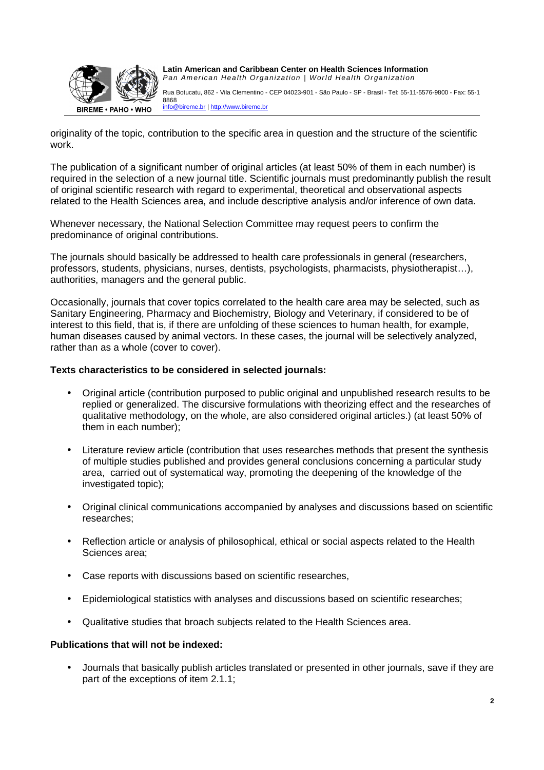

Rua Botucatu, 862 - Vila Clementino - CEP 04023-901 - São Paulo - SP - Brasil - Tel: 55-11-5576-9800 - Fax: 55-11 8868 info@bireme.br | http://www.bireme.br

originality of the topic, contribution to the specific area in question and the structure of the scientific work.

The publication of a significant number of original articles (at least 50% of them in each number) is required in the selection of a new journal title. Scientific journals must predominantly publish the result of original scientific research with regard to experimental, theoretical and observational aspects related to the Health Sciences area, and include descriptive analysis and/or inference of own data.

Whenever necessary, the National Selection Committee may request peers to confirm the predominance of original contributions.

The journals should basically be addressed to health care professionals in general (researchers, professors, students, physicians, nurses, dentists, psychologists, pharmacists, physiotherapist…), authorities, managers and the general public.

Occasionally, journals that cover topics correlated to the health care area may be selected, such as Sanitary Engineering, Pharmacy and Biochemistry, Biology and Veterinary, if considered to be of interest to this field, that is, if there are unfolding of these sciences to human health, for example, human diseases caused by animal vectors. In these cases, the journal will be selectively analyzed, rather than as a whole (cover to cover).

## **Texts characteristics to be considered in selected journals:**

- Original article (contribution purposed to public original and unpublished research results to be replied or generalized. The discursive formulations with theorizing effect and the researches of qualitative methodology, on the whole, are also considered original articles.) (at least 50% of them in each number);
- Literature review article (contribution that uses researches methods that present the synthesis of multiple studies published and provides general conclusions concerning a particular study area, carried out of systematical way, promoting the deepening of the knowledge of the investigated topic);
- Original clinical communications accompanied by analyses and discussions based on scientific researches;
- Reflection article or analysis of philosophical, ethical or social aspects related to the Health Sciences area;
- Case reports with discussions based on scientific researches,
- Epidemiological statistics with analyses and discussions based on scientific researches;
- Qualitative studies that broach subjects related to the Health Sciences area.

# **Publications that will not be indexed:**

• Journals that basically publish articles translated or presented in other journals, save if they are part of the exceptions of item 2.1.1;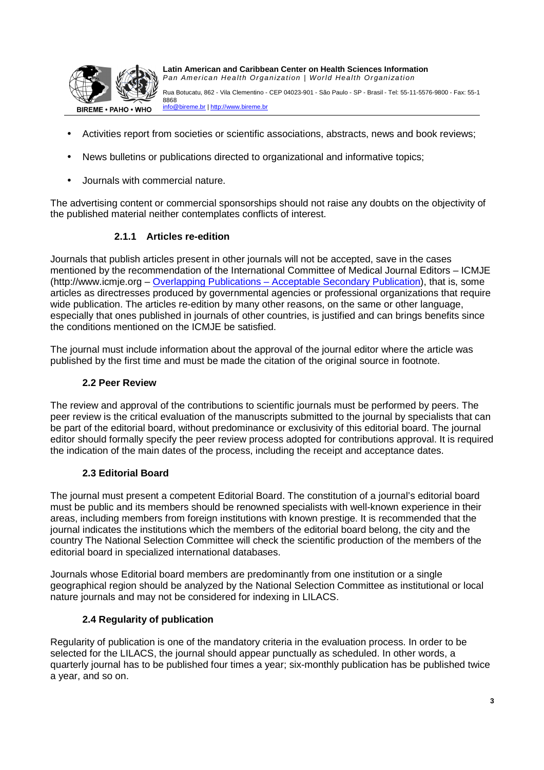

Rua Botucatu, 862 - Vila Clementino - CEP 04023-901 - São Paulo - SP - Brasil - Tel: 55-11-5576-9800 - Fax: 55-11 8868 info@bireme.br | http://www.bireme.br

- Activities report from societies or scientific associations, abstracts, news and book reviews;
- News bulletins or publications directed to organizational and informative topics;
- Journals with commercial nature.

The advertising content or commercial sponsorships should not raise any doubts on the objectivity of the published material neither contemplates conflicts of interest.

# **2.1.1 Articles re-edition**

Journals that publish articles present in other journals will not be accepted, save in the cases mentioned by the recommendation of the International Committee of Medical Journal Editors – ICMJE (http://www.icmje.org – Overlapping Publications – Acceptable Secondary Publication), that is, some articles as directresses produced by governmental agencies or professional organizations that require wide publication. The articles re-edition by many other reasons, on the same or other language, especially that ones published in journals of other countries, is justified and can brings benefits since the conditions mentioned on the ICMJE be satisfied.

The journal must include information about the approval of the journal editor where the article was published by the first time and must be made the citation of the original source in footnote.

### **2.2 Peer Review**

The review and approval of the contributions to scientific journals must be performed by peers. The peer review is the critical evaluation of the manuscripts submitted to the journal by specialists that can be part of the editorial board, without predominance or exclusivity of this editorial board. The journal editor should formally specify the peer review process adopted for contributions approval. It is required the indication of the main dates of the process, including the receipt and acceptance dates.

### **2.3 Editorial Board**

The journal must present a competent Editorial Board. The constitution of a journal's editorial board must be public and its members should be renowned specialists with well-known experience in their areas, including members from foreign institutions with known prestige. It is recommended that the journal indicates the institutions which the members of the editorial board belong, the city and the country The National Selection Committee will check the scientific production of the members of the editorial board in specialized international databases.

Journals whose Editorial board members are predominantly from one institution or a single geographical region should be analyzed by the National Selection Committee as institutional or local nature journals and may not be considered for indexing in LILACS.

### **2.4 Regularity of publication**

Regularity of publication is one of the mandatory criteria in the evaluation process. In order to be selected for the LILACS, the journal should appear punctually as scheduled. In other words, a quarterly journal has to be published four times a year; six-monthly publication has be published twice a year, and so on.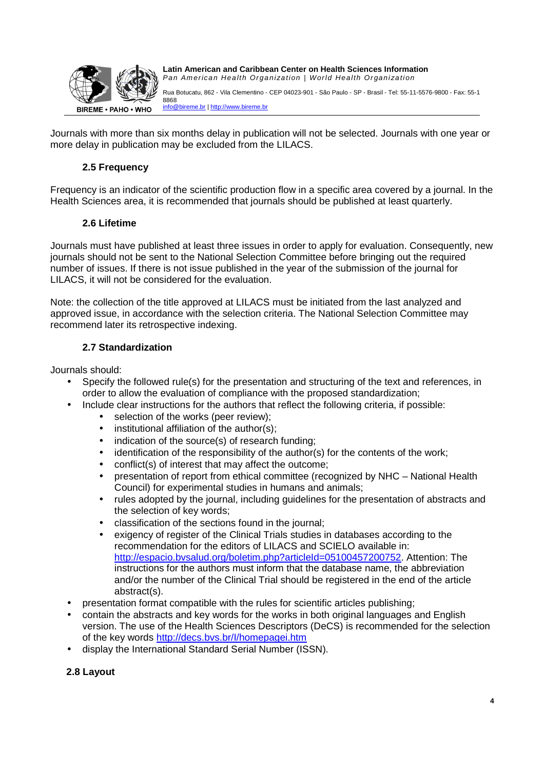

Rua Botucatu, 862 - Vila Clementino - CEP 04023-901 - São Paulo - SP - Brasil - Tel: 55-11-5576-9800 - Fax: 55-11 8868 info@bireme.br | http://www.bireme.br

Journals with more than six months delay in publication will not be selected. Journals with one year or more delay in publication may be excluded from the LILACS.

# **2.5 Frequency**

Frequency is an indicator of the scientific production flow in a specific area covered by a journal. In the Health Sciences area, it is recommended that journals should be published at least quarterly.

# **2.6 Lifetime**

Journals must have published at least three issues in order to apply for evaluation. Consequently, new journals should not be sent to the National Selection Committee before bringing out the required number of issues. If there is not issue published in the year of the submission of the journal for LILACS, it will not be considered for the evaluation.

Note: the collection of the title approved at LILACS must be initiated from the last analyzed and approved issue, in accordance with the selection criteria. The National Selection Committee may recommend later its retrospective indexing.

# **2.7 Standardization**

Journals should:

- Specify the followed rule(s) for the presentation and structuring of the text and references, in order to allow the evaluation of compliance with the proposed standardization;
- Include clear instructions for the authors that reflect the following criteria, if possible:
	- selection of the works (peer review);
	- institutional affiliation of the author(s):
	- indication of the source(s) of research funding;
	- identification of the responsibility of the author(s) for the contents of the work;
	- conflict(s) of interest that may affect the outcome;
	- presentation of report from ethical committee (recognized by NHC National Health Council) for experimental studies in humans and animals;
	- rules adopted by the journal, including guidelines for the presentation of abstracts and the selection of key words;
	- classification of the sections found in the journal;
	- exigency of register of the Clinical Trials studies in databases according to the recommendation for the editors of LILACS and SCIELO available in: http://espacio.bvsalud.org/boletim.php?articleId=05100457200752. Attention: The instructions for the authors must inform that the database name, the abbreviation and/or the number of the Clinical Trial should be registered in the end of the article abstract(s).
- presentation format compatible with the rules for scientific articles publishing;
- contain the abstracts and key words for the works in both original languages and English version. The use of the Health Sciences Descriptors (DeCS) is recommended for the selection of the key words http://decs.bvs.br/l/homepagei.htm
- display the International Standard Serial Number (ISSN).

# **2.8 Layout**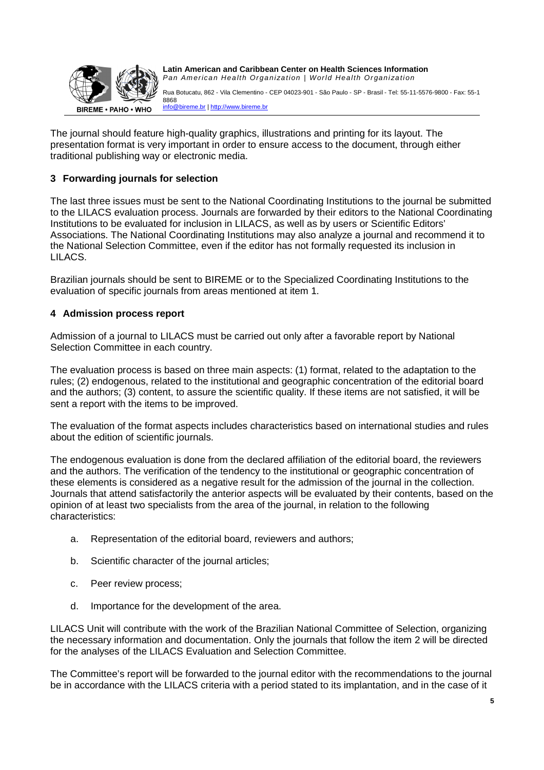

Rua Botucatu, 862 - Vila Clementino - CEP 04023-901 - São Paulo - SP - Brasil - Tel: 55-11-5576-9800 - Fax: 55-11 8868

info@bireme.br | http://www.bireme.br

The journal should feature high-quality graphics, illustrations and printing for its layout. The presentation format is very important in order to ensure access to the document, through either traditional publishing way or electronic media.

# **3 Forwarding journals for selection**

The last three issues must be sent to the National Coordinating Institutions to the journal be submitted to the LILACS evaluation process. Journals are forwarded by their editors to the National Coordinating Institutions to be evaluated for inclusion in LILACS, as well as by users or Scientific Editors' Associations. The National Coordinating Institutions may also analyze a journal and recommend it to the National Selection Committee, even if the editor has not formally requested its inclusion in LILACS.

Brazilian journals should be sent to BIREME or to the Specialized Coordinating Institutions to the evaluation of specific journals from areas mentioned at item 1.

# **4 Admission process report**

Admission of a journal to LILACS must be carried out only after a favorable report by National Selection Committee in each country.

The evaluation process is based on three main aspects: (1) format, related to the adaptation to the rules; (2) endogenous, related to the institutional and geographic concentration of the editorial board and the authors; (3) content, to assure the scientific quality. If these items are not satisfied, it will be sent a report with the items to be improved.

The evaluation of the format aspects includes characteristics based on international studies and rules about the edition of scientific journals.

The endogenous evaluation is done from the declared affiliation of the editorial board, the reviewers and the authors. The verification of the tendency to the institutional or geographic concentration of these elements is considered as a negative result for the admission of the journal in the collection. Journals that attend satisfactorily the anterior aspects will be evaluated by their contents, based on the opinion of at least two specialists from the area of the journal, in relation to the following characteristics:

- a. Representation of the editorial board, reviewers and authors;
- b. Scientific character of the journal articles;
- c. Peer review process;
- d. Importance for the development of the area.

LILACS Unit will contribute with the work of the Brazilian National Committee of Selection, organizing the necessary information and documentation. Only the journals that follow the item 2 will be directed for the analyses of the LILACS Evaluation and Selection Committee.

The Committee's report will be forwarded to the journal editor with the recommendations to the journal be in accordance with the LILACS criteria with a period stated to its implantation, and in the case of it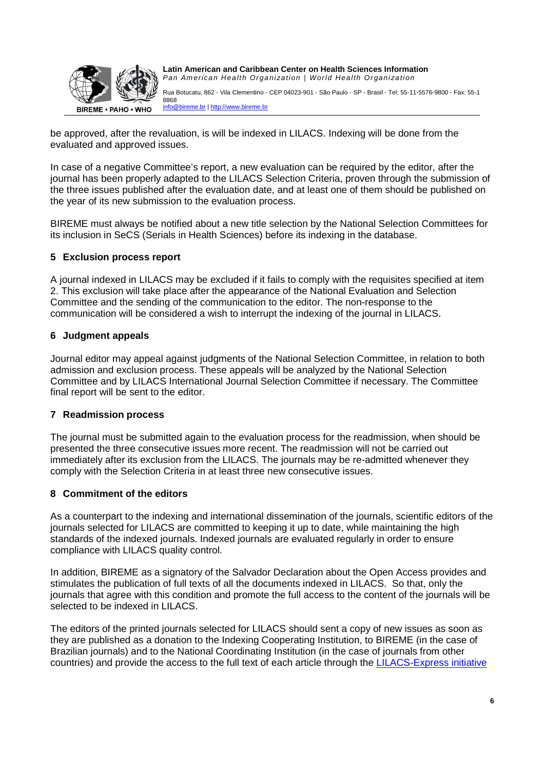

Rua Botucatu, 862 - Vila Clementino - CEP 04023-901 - São Paulo - SP - Brasil - Tel: 55-11-5576-9800 - Fax: 55-11 8868

info@bireme.br | http://www.bireme.br

be approved, after the revaluation, is will be indexed in LILACS. Indexing will be done from the evaluated and approved issues.

In case of a negative Committee's report, a new evaluation can be required by the editor, after the journal has been properly adapted to the LILACS Selection Criteria, proven through the submission of the three issues published after the evaluation date, and at least one of them should be published on the year of its new submission to the evaluation process.

BIREME must always be notified about a new title selection by the National Selection Committees for its inclusion in SeCS (Serials in Health Sciences) before its indexing in the database.

## **5 Exclusion process report**

A journal indexed in LILACS may be excluded if it fails to comply with the requisites specified at item 2. This exclusion will take place after the appearance of the National Evaluation and Selection Committee and the sending of the communication to the editor. The non-response to the communication will be considered a wish to interrupt the indexing of the journal in LILACS.

## **6 Judgment appeals**

Journal editor may appeal against judgments of the National Selection Committee, in relation to both admission and exclusion process. These appeals will be analyzed by the National Selection Committee and by LILACS International Journal Selection Committee if necessary. The Committee final report will be sent to the editor.

### **7 Readmission process**

The journal must be submitted again to the evaluation process for the readmission, when should be presented the three consecutive issues more recent. The readmission will not be carried out immediately after its exclusion from the LILACS. The journals may be re-admitted whenever they comply with the Selection Criteria in at least three new consecutive issues.

### **8 Commitment of the editors**

As a counterpart to the indexing and international dissemination of the journals, scientific editors of the journals selected for LILACS are committed to keeping it up to date, while maintaining the high standards of the indexed journals. Indexed journals are evaluated regularly in order to ensure compliance with LILACS quality control.

In addition, BIREME as a signatory of the Salvador Declaration about the Open Access provides and stimulates the publication of full texts of all the documents indexed in LILACS. So that, only the journals that agree with this condition and promote the full access to the content of the journals will be selected to be indexed in LILACS.

The editors of the printed journals selected for LILACS should sent a copy of new issues as soon as they are published as a donation to the Indexing Cooperating Institution, to BIREME (in the case of Brazilian journals) and to the National Coordinating Institution (in the case of journals from other countries) and provide the access to the full text of each article through the LILACS-Express initiative